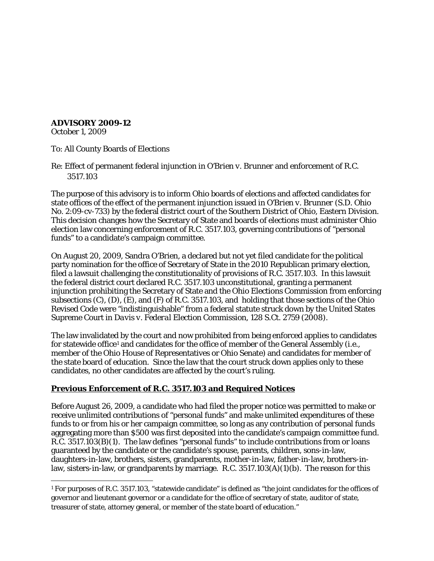## **ADVISORY 2009-12**

October 1, 2009

To: All County Boards of Elections

Re: Effect of permanent federal injunction in *O'Brien v. Brunner* and enforcement of R.C. 3517.103

The purpose of this advisory is to inform Ohio boards of elections and affected candidates for state offices of the effect of the permanent injunction issued in *O'Brien v. Brunner* (S.D. Ohio No. 2:09-cv-733) by the federal district court of the Southern District of Ohio, Eastern Division. This decision changes how the Secretary of State and boards of elections must administer Ohio election law concerning enforcement of R.C. 3517.103, governing contributions of "personal funds" to a candidate's campaign committee.

On August 20, 2009, Sandra O'Brien, a declared but not yet filed candidate for the political party nomination for the office of Secretary of State in the 2010 Republican primary election, filed a lawsuit challenging the constitutionality of provisions of R.C. 3517.103. In this lawsuit the federal district court declared R.C. 3517.103 unconstitutional, granting a permanent injunction prohibiting the Secretary of State and the Ohio Elections Commission from enforcing subsections (C), (D), (E), and (F) of R.C. 3517.103, and holding that those sections of the Ohio Revised Code were "indistinguishable" from a federal statute struck down by the United States Supreme Court in *Davis v. Federal Election Commission*, 128 S.Ct. 2759 (2008).

The law invalidated by the court and now prohibited from being enforced applies to candidates for statewide office<sup>[1](#page-0-0)</sup> and candidates for the office of member of the General Assembly (i.e., member of the Ohio House of Representatives or Ohio Senate) and candidates for member of the state board of education. Since the law that the court struck down applies only to these candidates, no other candidates are affected by the court's ruling.

# **Previous Enforcement of R.C. 3517.103 and Required Notices**

Before August 26, 2009, a candidate who had filed the proper notice was permitted to make or receive unlimited contributions of "personal funds" and make unlimited expenditures of these funds to or from his or her campaign committee, so long as any contribution of personal funds aggregating more than \$500 was first deposited into the candidate's campaign committee fund. R.C. 3517.103(B)(1). The law defines "personal funds" to include contributions from or loans guaranteed by the candidate or the candidate's spouse, parents, children, sons-in-law, daughters-in-law, brothers, sisters, grandparents, mother-in-law, father-in-law, brothers-inlaw, sisters-in-law, or grandparents by marriage. R.C. 3517.103(A)(1)(b). The reason for this

<span id="page-0-0"></span> $\overline{\phantom{a}}$ <sup>1</sup> For purposes of R.C. 3517.103, "statewide candidate" is defined as "the joint candidates for the offices of governor and lieutenant governor or a candidate for the office of secretary of state, auditor of state, treasurer of state, attorney general, or member of the state board of education."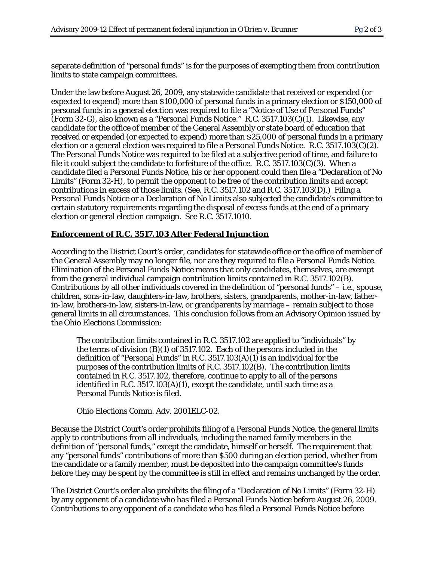separate definition of "personal funds" is for the purposes of exempting them from contribution limits to state campaign committees.

Under the law before August 26, 2009, any statewide candidate that received or expended (or expected to expend) more than \$100,000 of personal funds in a primary election or \$150,000 of personal funds in a general election was required to file a "Notice of Use of Personal Funds" (Form 32-G), also known as a "Personal Funds Notice." R.C. 3517.103(C)(1). Likewise, any candidate for the office of member of the General Assembly or state board of education that received or expended (or expected to expend) more than \$25,000 of personal funds in a primary election or a general election was required to file a Personal Funds Notice. R.C. 3517.103(C)(2). The Personal Funds Notice was required to be filed at a subjective period of time, and failure to file it could subject the candidate to forfeiture of the office. R.C. 3517.103(C)(3). When a candidate filed a Personal Funds Notice, his or her opponent could then file a "Declaration of No Limits" (Form 32-H), to permit the opponent to be free of the contribution limits and accept contributions in excess of those limits. (See, R.C. 3517.102 and R.C. 3517.103(D).) Filing a Personal Funds Notice or a Declaration of No Limits also subjected the candidate's committee to certain statutory requirements regarding the disposal of excess funds at the end of a primary election or general election campaign. See R.C. 3517.1010.

## **Enforcement of R.C. 3517.103 After Federal Injunction**

According to the District Court's order, candidates for statewide office or the office of member of the General Assembly may no longer file, nor are they required to file a Personal Funds Notice. Elimination of the Personal Funds Notice means that only candidates, themselves, are exempt from the general individual campaign contribution limits contained in R.C. 3517.102(B). Contributions by all other individuals covered in the definition of "personal funds" – i.e., spouse, children, sons-in-law, daughters-in-law, brothers, sisters, grandparents, mother-in-law, fatherin-law, brothers-in-law, sisters-in-law, or grandparents by marriage – remain subject to those general limits in all circumstances. This conclusion follows from an Advisory Opinion issued by the Ohio Elections Commission:

The contribution limits contained in R.C. 3517.102 are applied to "individuals" by the terms of division (B)(1) of 3517.102. Each of the persons included in the definition of "Personal Funds" in R.C. 3517.103(A)(1) is an individual for the purposes of the contribution limits of R.C. 3517.102(B). The contribution limits contained in R.C. 3517.102, therefore, continue to apply to all of the persons identified in R.C. 3517.103(A)(1), except the candidate, until such time as a Personal Funds Notice is filed.

Ohio Elections Comm. Adv. 2001ELC-02.

Because the District Court's order prohibits filing of a Personal Funds Notice, the general limits apply to contributions from *all* individuals, including the named family members in the definition of "personal funds," except the candidate, himself or herself. The requirement that any "personal funds" contributions of more than \$500 during an election period, whether from the candidate or a family member, must be deposited into the campaign committee's funds before they may be spent by the committee is still in effect and remains unchanged by the order.

The District Court's order also prohibits the filing of a "Declaration of No Limits" (Form 32-H) by any opponent of a candidate who has filed a Personal Funds Notice before August 26, 2009. Contributions to any opponent of a candidate who has filed a Personal Funds Notice before